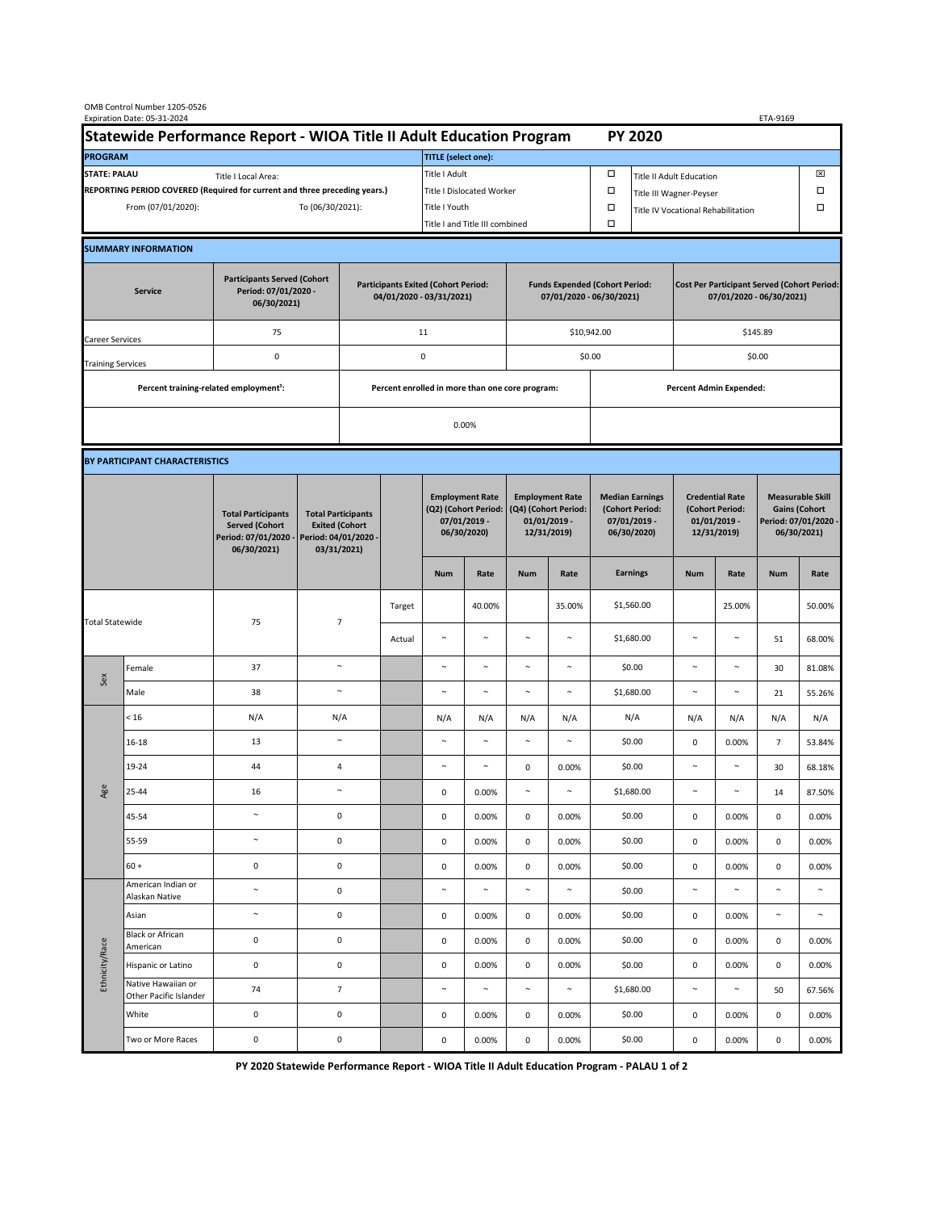|                                                                                             | OMB Control Number 1205-0526<br>Expiration Date: 05-31-2024<br>ETA-9169 |                                                                                           |                                                                                           |                                                                        |        |                                                                               |                                |                                                                                 |             |                                                                            |                                    |                                                                                |        |                                                                                        |        |  |
|---------------------------------------------------------------------------------------------|-------------------------------------------------------------------------|-------------------------------------------------------------------------------------------|-------------------------------------------------------------------------------------------|------------------------------------------------------------------------|--------|-------------------------------------------------------------------------------|--------------------------------|---------------------------------------------------------------------------------|-------------|----------------------------------------------------------------------------|------------------------------------|--------------------------------------------------------------------------------|--------|----------------------------------------------------------------------------------------|--------|--|
| Statewide Performance Report - WIOA Title II Adult Education Program                        |                                                                         |                                                                                           |                                                                                           |                                                                        |        | <b>PY 2020</b>                                                                |                                |                                                                                 |             |                                                                            |                                    |                                                                                |        |                                                                                        |        |  |
| <b>PROGRAM</b>                                                                              |                                                                         |                                                                                           |                                                                                           |                                                                        |        | <b>TITLE</b> (select one):                                                    |                                |                                                                                 |             |                                                                            |                                    |                                                                                |        |                                                                                        |        |  |
| <b>STATE: PALAU</b><br>Title I Local Area:                                                  |                                                                         |                                                                                           |                                                                                           |                                                                        |        | Title I Adult                                                                 |                                |                                                                                 |             | □<br><b>Title II Adult Education</b>                                       |                                    |                                                                                |        |                                                                                        | ⊠      |  |
| REPORTING PERIOD COVERED (Required for current and three preceding years.)                  |                                                                         |                                                                                           |                                                                                           |                                                                        |        | Title I Dislocated Worker                                                     |                                |                                                                                 |             | $\Box$                                                                     | Title III Wagner-Peyser            |                                                                                |        |                                                                                        | Ω      |  |
| From (07/01/2020):                                                                          |                                                                         |                                                                                           | To (06/30/2021):                                                                          |                                                                        |        | Title I Youth                                                                 |                                |                                                                                 |             | $\Box$                                                                     | Title IV Vocational Rehabilitation |                                                                                |        | □                                                                                      |        |  |
|                                                                                             |                                                                         |                                                                                           |                                                                                           |                                                                        |        |                                                                               | Title I and Title III combined |                                                                                 |             |                                                                            |                                    |                                                                                |        |                                                                                        |        |  |
|                                                                                             | <b>SUMMARY INFORMATION</b>                                              |                                                                                           |                                                                                           |                                                                        |        |                                                                               |                                |                                                                                 |             |                                                                            |                                    |                                                                                |        |                                                                                        |        |  |
| <b>Participants Served (Cohort</b><br>Period: 07/01/2020 -<br><b>Service</b><br>06/30/2021) |                                                                         |                                                                                           |                                                                                           | <b>Participants Exited (Cohort Period:</b><br>04/01/2020 - 03/31/2021) |        |                                                                               |                                | <b>Funds Expended (Cohort Period:</b><br>07/01/2020 - 06/30/2021)               |             |                                                                            |                                    | <b>Cost Per Participant Served (Cohort Period:</b><br>07/01/2020 - 06/30/2021) |        |                                                                                        |        |  |
| Career Services                                                                             |                                                                         | 75                                                                                        |                                                                                           |                                                                        | 11     |                                                                               |                                |                                                                                 | \$10,942.00 |                                                                            | \$145.89                           |                                                                                |        |                                                                                        |        |  |
| <b>Training Services</b>                                                                    |                                                                         | 0                                                                                         |                                                                                           | 0                                                                      |        |                                                                               |                                | \$0.00                                                                          |             |                                                                            |                                    | \$0.00                                                                         |        |                                                                                        |        |  |
|                                                                                             | Percent training-related employment <sup>1</sup> :                      |                                                                                           | Percent enrolled in more than one core program:                                           |                                                                        |        |                                                                               |                                |                                                                                 |             |                                                                            | Percent Admin Expended:            |                                                                                |        |                                                                                        |        |  |
|                                                                                             |                                                                         |                                                                                           |                                                                                           |                                                                        |        |                                                                               |                                |                                                                                 |             |                                                                            |                                    |                                                                                |        |                                                                                        |        |  |
|                                                                                             |                                                                         |                                                                                           |                                                                                           | 0.00%                                                                  |        |                                                                               |                                |                                                                                 |             |                                                                            |                                    |                                                                                |        |                                                                                        |        |  |
|                                                                                             | BY PARTICIPANT CHARACTERISTICS                                          |                                                                                           |                                                                                           |                                                                        |        |                                                                               |                                |                                                                                 |             |                                                                            |                                    |                                                                                |        |                                                                                        |        |  |
|                                                                                             |                                                                         | <b>Total Participants</b><br><b>Served (Cohort</b><br>Period: 07/01/2020 -<br>06/30/2021) | <b>Total Participants</b><br><b>Exited (Cohort</b><br>Period: 04/01/2020 -<br>03/31/2021) |                                                                        |        | <b>Employment Rate</b><br>(Q2) (Cohort Period:<br>07/01/2019 -<br>06/30/2020) |                                | <b>Employment Rate</b><br>(Q4) (Cohort Period:<br>$01/01/2019$ -<br>12/31/2019) |             | <b>Median Earnings</b><br>(Cohort Period:<br>$07/01/2019 -$<br>06/30/2020) |                                    | <b>Credential Rate</b><br>(Cohort Period:<br>$01/01/2019 -$<br>12/31/2019)     |        | <b>Measurable Skill</b><br><b>Gains (Cohort</b><br>Period: 07/01/2020 -<br>06/30/2021) |        |  |
|                                                                                             |                                                                         |                                                                                           |                                                                                           |                                                                        |        | <b>Num</b>                                                                    | Rate                           | <b>Num</b>                                                                      | Rate        |                                                                            | <b>Earnings</b>                    | <b>Num</b>                                                                     | Rate   | <b>Num</b>                                                                             | Rate   |  |
| <b>Total Statewide</b>                                                                      |                                                                         | 75                                                                                        | $\overline{7}$                                                                            |                                                                        | Target |                                                                               | 40.00%                         |                                                                                 | 35.00%      |                                                                            | \$1,560.00                         |                                                                                | 25.00% |                                                                                        | 50.00% |  |
|                                                                                             |                                                                         |                                                                                           |                                                                                           |                                                                        | Actual | $\sim$                                                                        | $\sim$                         | $\sim$                                                                          | $\sim$      |                                                                            | \$1,680.00                         | $\sim$                                                                         | $\sim$ | 51                                                                                     | 68.00% |  |
| Sex                                                                                         | Female                                                                  | 37                                                                                        | $\sim$                                                                                    |                                                                        |        | $\sim$                                                                        | $\sim$                         | $\sim$                                                                          | $\sim$      |                                                                            | \$0.00                             | $\sim$                                                                         | $\sim$ | 30                                                                                     | 81.08% |  |
|                                                                                             | Male                                                                    | 38                                                                                        | $\sim$                                                                                    |                                                                        |        | $\sim$                                                                        | $\sim$                         | $\sim$                                                                          | $\sim$      |                                                                            | \$1,680.00                         | $\sim$                                                                         | $\sim$ | 21                                                                                     | 55.26% |  |
| Age                                                                                         | < 16                                                                    | N/A                                                                                       | N/A                                                                                       |                                                                        |        | N/A                                                                           | N/A                            | N/A                                                                             | N/A         |                                                                            | N/A                                | N/A                                                                            | N/A    | N/A                                                                                    | N/A    |  |
|                                                                                             | $16 - 18$                                                               | 13                                                                                        | $\sim$                                                                                    |                                                                        |        | N                                                                             | $\sim$                         | $\sim$                                                                          | $\sim$      |                                                                            | \$0.00                             | $\mathsf 0$                                                                    | 0.00%  | $\overline{7}$                                                                         | 53.84% |  |
|                                                                                             | 19-24                                                                   | 44                                                                                        | $\sqrt{4}$                                                                                |                                                                        |        | $\sim$                                                                        | $\sim$                         | 0                                                                               | 0.00%       |                                                                            | \$0.00                             | $\sim$                                                                         | $\sim$ | 30                                                                                     | 68.18% |  |
|                                                                                             | 25-44                                                                   | 16                                                                                        | $\sim$                                                                                    |                                                                        |        | 0                                                                             | 0.00%                          | $\sim$                                                                          | $\sim$      |                                                                            | \$1,680.00                         | $\sim$                                                                         | $\sim$ | 14                                                                                     | 87.50% |  |
|                                                                                             | 45-54                                                                   | $\tilde{}$                                                                                | $\mathsf 0$                                                                               |                                                                        |        | $\mathsf 0$                                                                   | 0.00%                          | $\mathsf 0$                                                                     | 0.00%       |                                                                            | \$0.00                             | $\pmb{0}$                                                                      | 0.00%  | $\mathsf{O}\xspace$                                                                    | 0.00%  |  |
|                                                                                             | 55-59                                                                   | $\sim$                                                                                    | $\mathsf 0$                                                                               |                                                                        |        | $\mathsf 0$                                                                   | 0.00%                          | $\mathsf 0$                                                                     | 0.00%       |                                                                            | \$0.00                             | $\mathbf 0$                                                                    | 0.00%  | $\mathsf{O}\xspace$                                                                    | 0.00%  |  |
|                                                                                             | $60 +$<br>American Indian or                                            | $\pmb{0}$                                                                                 | 0                                                                                         |                                                                        |        | $\mathsf 0$                                                                   | 0.00%                          | 0                                                                               | 0.00%       |                                                                            | \$0.00                             | $\mathbf 0$                                                                    | 0.00%  | $\mathsf{O}\xspace$                                                                    | 0.00%  |  |
| Ethnicity/Race                                                                              | Alaskan Native                                                          | $\sim$                                                                                    | 0                                                                                         |                                                                        |        | $\sim$                                                                        | $\sim$                         | $\sim$                                                                          | $\sim$      |                                                                            | \$0.00                             | $\sim$                                                                         | $\sim$ | $\sim$                                                                                 | $\sim$ |  |
|                                                                                             | Asian<br>Black or African                                               | $\tilde{\phantom{a}}$                                                                     | 0                                                                                         |                                                                        |        | 0                                                                             | 0.00%                          | 0                                                                               | 0.00%       |                                                                            | \$0.00                             | 0                                                                              | 0.00%  | $\sim$                                                                                 | $\sim$ |  |
|                                                                                             | American                                                                | $\pmb{0}$                                                                                 | 0                                                                                         |                                                                        |        | $\mathsf{O}\xspace$                                                           | 0.00%                          | $\mathsf 0$                                                                     | 0.00%       |                                                                            | \$0.00                             | $\pmb{0}$                                                                      | 0.00%  | 0                                                                                      | 0.00%  |  |
|                                                                                             | Hispanic or Latino<br>Native Hawaiian or                                | $\pmb{0}$                                                                                 | 0                                                                                         |                                                                        |        | $\mathsf{O}\xspace$                                                           | 0.00%                          | $\mathsf 0$                                                                     | 0.00%       |                                                                            | \$0.00                             | $\pmb{0}$                                                                      | 0.00%  | $\mathsf 0$                                                                            | 0.00%  |  |
|                                                                                             | Other Pacific Islander                                                  | 74                                                                                        |                                                                                           | $\overline{7}$                                                         |        | $\sim$                                                                        | $\sim$                         | $\sim$                                                                          | $\sim$      |                                                                            | \$1,680.00                         | $\sim$                                                                         | $\sim$ | 50                                                                                     | 67.56% |  |
|                                                                                             | White                                                                   | $\mathsf 0$                                                                               | $\mathsf 0$                                                                               |                                                                        |        | 0                                                                             | 0.00%                          | 0                                                                               | 0.00%       |                                                                            | \$0.00                             | 0                                                                              | 0.00%  | 0                                                                                      | 0.00%  |  |
|                                                                                             | Two or More Races                                                       | $\pmb{0}$                                                                                 |                                                                                           | $\pmb{0}$                                                              |        | 0                                                                             | 0.00%                          | 0                                                                               | 0.00%       |                                                                            | \$0.00                             | $\mathbf 0$                                                                    | 0.00%  | 0                                                                                      | 0.00%  |  |

**PY 2020 Statewide Performance Report - WIOA Title II Adult Education Program - PALAU 1 of 2**